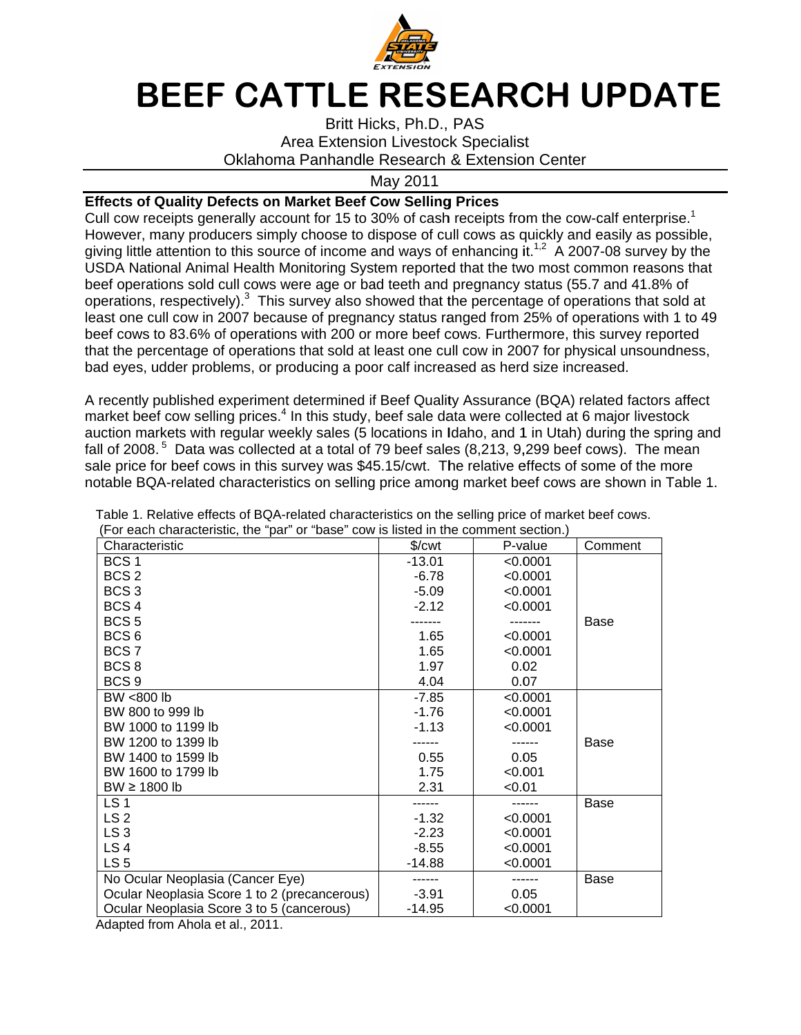

## BEEF CATTLE RESEARCH UPDATE

## **Effects of Quality Defects on Market Beef Cow Selling Prices**

Cull cow receipts generally account for 15 to 30% of cash receipts from the cow-calf enterprise.<sup>1</sup> However, many producers simply choose to dispose of cull cows as quickly and easily as possible, giving little attention to this source of income and ways of enhancing it. USDA National Animal Health Monitoring System reported that the two most common reason beef operations sold cull cows were age or bad teeth and pregnancy status (55.7 and 41.8% of operations, respectively). least one cull cow in 2007 because of pregnancy status ranged from 25% of operations with 1 to 49 beef cows to 83.6% of operations with 200 or more beef cows. Furthermore, this survey reported that the percentage of operations that sold at least one cull cow in 2007 for physical bad eyes, udder problems, or producing a poor calf increased as herd size increased. cow receipts generally account for 15 to 30% of cash receipts from the cow-<br>ever, many producers simply choose to dispose of cull cows as quickly and<br>g little attention to this source of income and ways of enhancing it.<sup>1,</sup> beef operations sold cull cows were age or bad teeth and pregnancy status (55.7 and 41.8% of<br>operations, respectively).<sup>3</sup> This survey also showed that the percentage of operations that sold at<br>least one cull cow in 2007 b Cull cow receipts generally account for 15 to 30% of cash receipts from the cow-calf enterprise.<sup>1</sup><br>However, many producers simply choose to dispose of cull cows as quickly and easily as possible,<br>giving little attention This survey also showed that the percentage of operations that sold at cows to 83.6% of operations with 200 or more beef cows. Furthermore, this surve<br>the percentage of operations that sold at least one cull cow in 2007 for physical ur<br>eyes, udder problems, or producing a poor calf increased r receipts generally account for 15 to 30% of cash receipts from the cow-calf enterprise.<sup>1</sup><br>r, many producers simply choose to dispose of cull cows as quickly and easily as possible,<br>tle attention to this source of income beef operations sold cull cows were age or bad teeth and pregnancy status (55.7 and 41.8% of<br>operations, respectively).<sup>3</sup> This survey also showed that the percentage of operations that sold at<br>least one cull cow in 2007 b ely).<sup>3</sup> This survey also showed that the percentage of operations that sold a<br>2007 because of pregnancy status ranged from 25% of operations with 1 to<br>of operations with 200 or more beef cows. Furthermore, this survey rep that the percentage of operations that sold at least one cull cow in 2007 for physical unsoundness,<br>bad eyes, udder problems, or producing a poor calf increased as herd size increased.<br>A recently published experiment deter choose to dispose of cull cows as quickly and easily as possible, of income and ways of enhancing it.<sup>1,2</sup> A 2007-08 survey by the nitoring System reported that the two most common reasons that

A recently published experiment determined if Beef Quality Assurance (BQA) related factors affect market beef cow selling prices.<sup>4</sup> In this study, beef sale data were collected at 6 major livestock auction markets fall of 2008.<sup>5</sup> Data was collected at a total of 79 beef sales (8,213 sale price for beef cows in this survey was \$45.15/cwt. The relative effects of some of the more<br>notable BQA-related characteristics on selling price among market beef cows are shown in Table sale price for beef cows in this survey was \$45.15/cwt. The relative effects of some of the more<br>notable BQA-related characteristics on selling price among market beef cows are shown in Table 1. ts with regular weekly sales (5 locations in Idaho, and 1 in Utah) during the spring and<br>Data was collected at a total of 79 beef sales (8,213, 9,299 beef cows). The mean<br>ɔeef cows in this survey was \$45.15/cwt. The rela r producing a poor calf increased as herd size increased.<br>ent determined if Beef Quality Assurance (BQA) related factors affec<br>s.<sup>4</sup> In this study, beef sale data were collected at 6 major livestock<br>weekly sales (5 locatio all cows were age or bad teeth and pregnancy status (55.7 and 41.8% of<br>y).<sup>3</sup> This survey also showed that the percentage of operations that sold at<br>007 because of pregnancy status ranged from 25% of operations with 1 to 4

| <b>BEEF CATTLE RESEARCH UPDA</b>                                                                                                                                                           |                    |                      |             |
|--------------------------------------------------------------------------------------------------------------------------------------------------------------------------------------------|--------------------|----------------------|-------------|
|                                                                                                                                                                                            |                    |                      |             |
| Britt Hicks, Ph.D., PAS<br><b>Area Extension Livestock Specialist</b>                                                                                                                      |                    |                      |             |
| Oklahoma Panhandle Research & Extension Center                                                                                                                                             |                    |                      |             |
|                                                                                                                                                                                            |                    |                      |             |
| <b>Effects of Quality Defects on Market Beef Cow Selling Prices</b>                                                                                                                        | May 2011           |                      |             |
| Cull cow receipts generally account for 15 to 30% of cash receipts from the cow-calf enterp                                                                                                |                    |                      |             |
| However, many producers simply choose to dispose of cull cows as quickly and easily as p                                                                                                   |                    |                      |             |
| giving little attention to this source of income and ways of enhancing it. <sup>1,2</sup> A 2007-08 survey                                                                                 |                    |                      |             |
| USDA National Animal Health Monitoring System reported that the two most common rease                                                                                                      |                    |                      |             |
| beef operations sold cull cows were age or bad teeth and pregnancy status (55.7 and 41.89                                                                                                  |                    |                      |             |
| operations, respectively). <sup>3</sup> This survey also showed that the percentage of operations that                                                                                     |                    |                      |             |
| least one cull cow in 2007 because of pregnancy status ranged from 25% of operations witl                                                                                                  |                    |                      |             |
| beef cows to 83.6% of operations with 200 or more beef cows. Furthermore, this survey rep                                                                                                  |                    |                      |             |
| that the percentage of operations that sold at least one cull cow in 2007 for physical unsour                                                                                              |                    |                      |             |
| bad eyes, udder problems, or producing a poor calf increased as herd size increased.                                                                                                       |                    |                      |             |
|                                                                                                                                                                                            |                    |                      |             |
| A recently published experiment determined if Beef Quality Assurance (BQA) related factor                                                                                                  |                    |                      |             |
| market beef cow selling prices. <sup>4</sup> In this study, beef sale data were collected at 6 major lives                                                                                 |                    |                      |             |
| auction markets with regular weekly sales (5 locations in Idaho, and 1 in Utah) during the sp                                                                                              |                    |                      |             |
| fall of 2008. $^5$ Data was collected at a total of 79 beef sales (8,213, 9,299 beef cows). The                                                                                            |                    |                      |             |
| sale price for beef cows in this survey was \$45.15/cwt. The relative effects of some of the r<br>notable BQA-related characteristics on selling price among market beef cows are shown in |                    |                      |             |
|                                                                                                                                                                                            |                    |                      |             |
| Table 1. Relative effects of BQA-related characteristics on the selling price of market beef cows.                                                                                         |                    |                      |             |
| (For each characteristic, the "par" or "base" cow is listed in the comment section.)                                                                                                       |                    |                      |             |
| Characteristic                                                                                                                                                                             | \$/ <sub>cut</sub> | P-value              | Comment     |
| BCS <sub>1</sub>                                                                                                                                                                           | $-13.01$           | < 0.0001             |             |
| BCS <sub>2</sub>                                                                                                                                                                           | $-6.78$            | < 0.0001             |             |
| BCS <sub>3</sub><br>BCS <sub>4</sub>                                                                                                                                                       | $-5.09$<br>$-2.12$ | < 0.0001<br>< 0.0001 |             |
| BCS <sub>5</sub>                                                                                                                                                                           | .                  | -------              | <b>Base</b> |
| BCS <sub>6</sub>                                                                                                                                                                           | 1.65               | < 0.0001             |             |
| BCS7                                                                                                                                                                                       | 1.65               | < 0.0001             |             |
| BCS <sub>8</sub>                                                                                                                                                                           | 1.97               | 0.02                 |             |
| BCS <sub>9</sub>                                                                                                                                                                           | 4.04               | 0.07                 |             |
| BW <800 lb                                                                                                                                                                                 | $-7.85$            | < 0.0001             |             |
| BW 800 to 999 lb                                                                                                                                                                           | $-1.76$            | < 0.0001             |             |
| BW 1000 to 1199 lb<br>BW 1200 to 1399 lb                                                                                                                                                   | $-1.13$            | < 0.0001             | <b>Base</b> |
| BW 1400 to 1599 lb                                                                                                                                                                         | 0.55               | 0.05                 |             |
| BW 1600 to 1799 lb                                                                                                                                                                         | 1.75               | < 0.001              |             |
| $BW \ge 1800$ lb                                                                                                                                                                           | 2.31               | < 0.01               |             |
| LS <sub>1</sub>                                                                                                                                                                            |                    |                      | Base        |
| LS <sub>2</sub>                                                                                                                                                                            | $-1.32$            | < 0.0001             |             |
| LS <sub>3</sub>                                                                                                                                                                            | $-2.23$            | < 0.0001             |             |
| LS <sub>4</sub>                                                                                                                                                                            | $-8.55$            | < 0.0001             |             |
| LS <sub>5</sub>                                                                                                                                                                            | $-14.88$           | < 0.0001             |             |
| No Ocular Neoplasia (Cancer Eye)<br>Ocular Neoplasia Score 1 to 2 (precancerous)                                                                                                           | $-3.91$            | 0.05                 | Base        |
| Ocular Neoplasia Score 3 to 5 (cancerous)                                                                                                                                                  | $-14.95$           | < 0.0001             |             |
| Adapted from Ahola et al., 2011.                                                                                                                                                           |                    |                      |             |

Adapted from Ahola et al., 2011.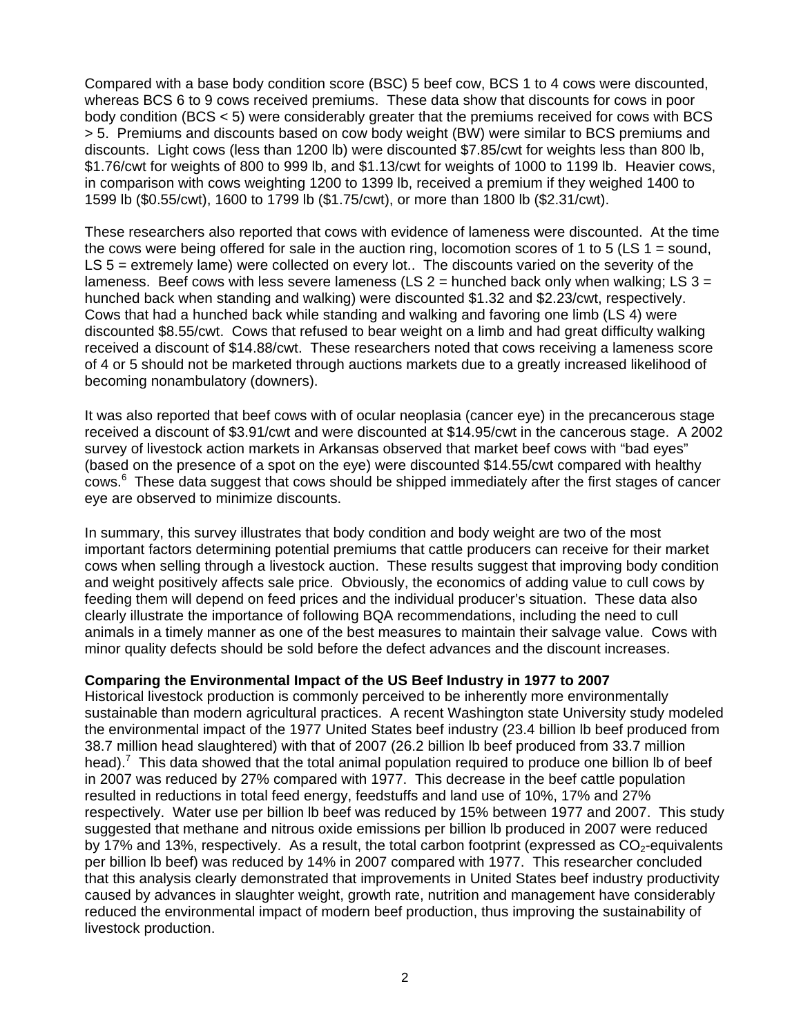Compared with a base body condition score (BSC) 5 beef cow, BCS 1 to 4 cows were discounted, whereas BCS 6 to 9 cows received premiums. These data show that discounts for cows in poor body condition (BCS < 5) were considerably greater that the premiums received for cows with BCS > 5. Premiums and discounts based on cow body weight (BW) were similar to BCS premiums and discounts. Light cows (less than 1200 lb) were discounted \$7.85/cwt for weights less than 800 lb, \$1.76/cwt for weights of 800 to 999 lb, and \$1.13/cwt for weights of 1000 to 1199 lb. Heavier cows, in comparison with cows weighting 1200 to 1399 lb, received a premium if they weighed 1400 to 1599 lb (\$0.55/cwt), 1600 to 1799 lb (\$1.75/cwt), or more than 1800 lb (\$2.31/cwt).

These researchers also reported that cows with evidence of lameness were discounted. At the time the cows were being offered for sale in the auction ring, locomotion scores of 1 to 5 (LS  $1 =$  sound, LS 5 = extremely lame) were collected on every lot.. The discounts varied on the severity of the lameness. Beef cows with less severe lameness (LS  $2 =$  hunched back only when walking: LS  $3 =$ hunched back when standing and walking) were discounted \$1.32 and \$2.23/cwt, respectively. Cows that had a hunched back while standing and walking and favoring one limb (LS 4) were discounted \$8.55/cwt. Cows that refused to bear weight on a limb and had great difficulty walking received a discount of \$14.88/cwt. These researchers noted that cows receiving a lameness score of 4 or 5 should not be marketed through auctions markets due to a greatly increased likelihood of becoming nonambulatory (downers).

It was also reported that beef cows with of ocular neoplasia (cancer eye) in the precancerous stage received a discount of \$3.91/cwt and were discounted at \$14.95/cwt in the cancerous stage. A 2002 survey of livestock action markets in Arkansas observed that market beef cows with "bad eyes" (based on the presence of a spot on the eye) were discounted \$14.55/cwt compared with healthy cows.<sup>6</sup> These data suggest that cows should be shipped immediately after the first stages of cancer eye are observed to minimize discounts.

In summary, this survey illustrates that body condition and body weight are two of the most important factors determining potential premiums that cattle producers can receive for their market cows when selling through a livestock auction. These results suggest that improving body condition and weight positively affects sale price. Obviously, the economics of adding value to cull cows by feeding them will depend on feed prices and the individual producer's situation. These data also clearly illustrate the importance of following BQA recommendations, including the need to cull animals in a timely manner as one of the best measures to maintain their salvage value. Cows with minor quality defects should be sold before the defect advances and the discount increases.

## **Comparing the Environmental Impact of the US Beef Industry in 1977 to 2007**

Historical livestock production is commonly perceived to be inherently more environmentally sustainable than modern agricultural practices. A recent Washington state University study modeled the environmental impact of the 1977 United States beef industry (23.4 billion lb beef produced from 38.7 million head slaughtered) with that of 2007 (26.2 billion lb beef produced from 33.7 million head).<sup>7</sup> This data showed that the total animal population required to produce one billion Ib of beef in 2007 was reduced by 27% compared with 1977. This decrease in the beef cattle population resulted in reductions in total feed energy, feedstuffs and land use of 10%, 17% and 27% respectively. Water use per billion lb beef was reduced by 15% between 1977 and 2007. This study suggested that methane and nitrous oxide emissions per billion lb produced in 2007 were reduced by 17% and 13%, respectively. As a result, the total carbon footprint (expressed as  $CO<sub>2</sub>$ -equivalents per billion lb beef) was reduced by 14% in 2007 compared with 1977. This researcher concluded that this analysis clearly demonstrated that improvements in United States beef industry productivity caused by advances in slaughter weight, growth rate, nutrition and management have considerably reduced the environmental impact of modern beef production, thus improving the sustainability of livestock production.